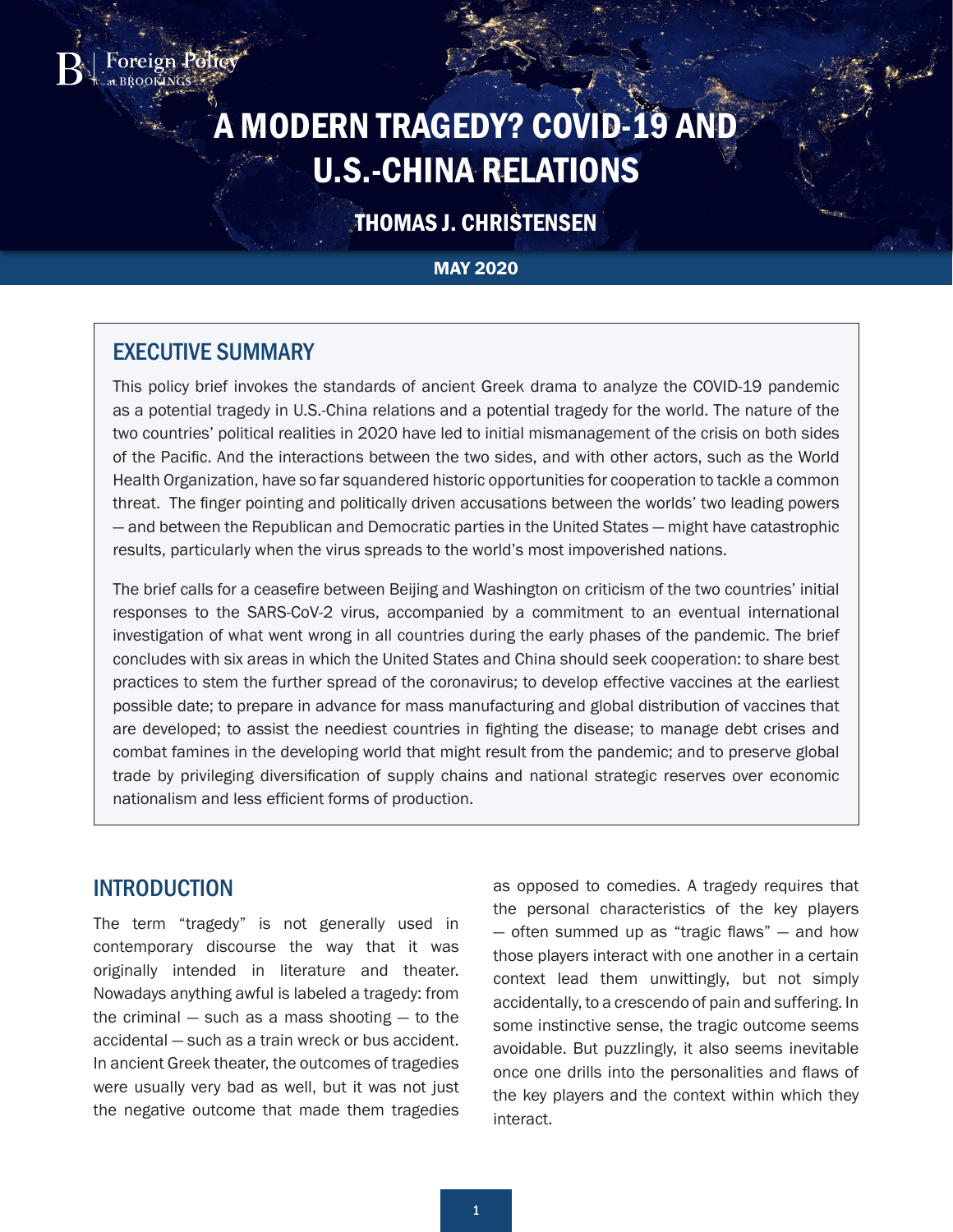# A MODERN TRAGEDY? COVID-19 AND U.S.-CHINA RELATIONS

# THOMAS J. CHRISTENSEN

#### MAY 2020

## EXECUTIVE SUMMARY

oreign Polic

This policy brief invokes the standards of ancient Greek drama to analyze the COVID-19 pandemic as a potential tragedy in U.S.-China relations and a potential tragedy for the world. The nature of the two countries' political realities in 2020 have led to initial mismanagement of the crisis on both sides of the Pacific. And the interactions between the two sides, and with other actors, such as the World Health Organization, have so far squandered historic opportunities for cooperation to tackle a common threat. The finger pointing and politically driven accusations between the worlds' two leading powers — and between the Republican and Democratic parties in the United States — might have catastrophic results, particularly when the virus spreads to the world's most impoverished nations.

The brief calls for a ceasefire between Beijing and Washington on criticism of the two countries' initial responses to the SARS-CoV-2 virus, accompanied by a commitment to an eventual international investigation of what went wrong in all countries during the early phases of the pandemic. The brief concludes with six areas in which the United States and China should seek cooperation: to share best practices to stem the further spread of the coronavirus; to develop effective vaccines at the earliest possible date; to prepare in advance for mass manufacturing and global distribution of vaccines that are developed; to assist the neediest countries in fighting the disease; to manage debt crises and combat famines in the developing world that might result from the pandemic; and to preserve global trade by privileging diversification of supply chains and national strategic reserves over economic nationalism and less efficient forms of production.

#### INTRODUCTION

The term "tragedy" is not generally used in contemporary discourse the way that it was originally intended in literature and theater. Nowadays anything awful is labeled a tragedy: from the criminal  $-$  such as a mass shooting  $-$  to the accidental — such as a train wreck or bus accident. In ancient Greek theater, the outcomes of tragedies were usually very bad as well, but it was not just the negative outcome that made them tragedies

as opposed to comedies. A tragedy requires that the personal characteristics of the key players — often summed up as "tragic flaws" — and how those players interact with one another in a certain context lead them unwittingly, but not simply accidentally, to a crescendo of pain and suffering. In some instinctive sense, the tragic outcome seems avoidable. But puzzlingly, it also seems inevitable once one drills into the personalities and flaws of the key players and the context within which they interact.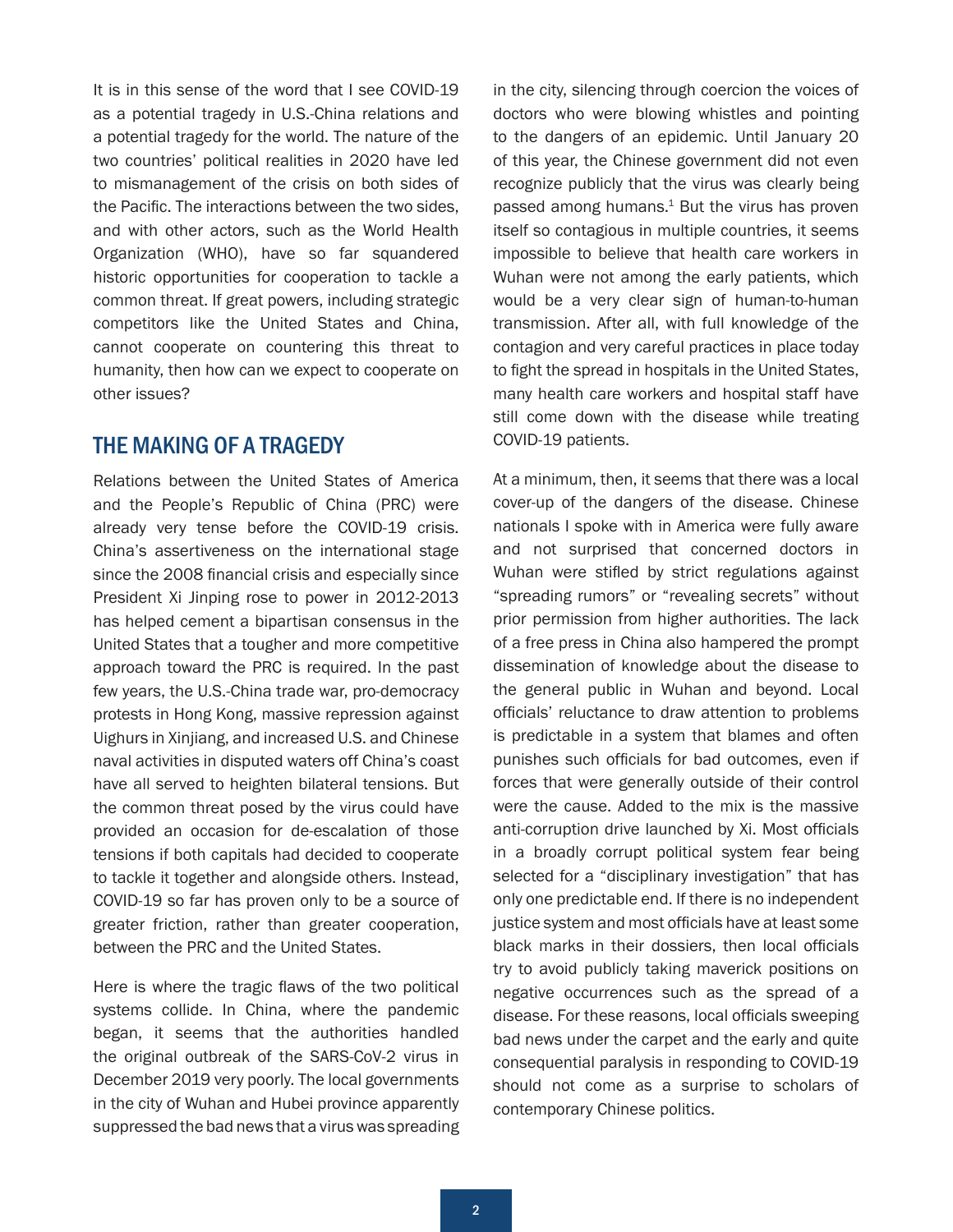<span id="page-1-0"></span>It is in this sense of the word that I see COVID-19 as a potential tragedy in U.S.-China relations and a potential tragedy for the world. The nature of the two countries' political realities in 2020 have led to mismanagement of the crisis on both sides of the Pacific. The interactions between the two sides, and with other actors, such as the World Health Organization (WHO), have so far squandered historic opportunities for cooperation to tackle a common threat. If great powers, including strategic competitors like the United States and China, cannot cooperate on countering this threat to humanity, then how can we expect to cooperate on other issues?

#### THE MAKING OF A TRAGEDY

Relations between the United States of America and the People's Republic of China (PRC) were already very tense before the COVID-19 crisis. China's assertiveness on the international stage since the 2008 financial crisis and especially since President Xi Jinping rose to power in 2012-2013 has helped cement a bipartisan consensus in the United States that a tougher and more competitive approach toward the PRC is required. In the past few years, the U.S.-China trade war, pro-democracy protests in Hong Kong, massive repression against Uighurs in Xinjiang, and increased U.S. and Chinese naval activities in disputed waters off China's coast have all served to heighten bilateral tensions. But the common threat posed by the virus could have provided an occasion for de-escalation of those tensions if both capitals had decided to cooperate to tackle it together and alongside others. Instead, COVID-19 so far has proven only to be a source of greater friction, rather than greater cooperation, between the PRC and the United States.

Here is where the tragic flaws of the two political systems collide. In China, where the pandemic began, it seems that the authorities handled the original outbreak of the SARS-CoV-2 virus in December 2019 very poorly. The local governments in the city of Wuhan and Hubei province apparently suppressed the bad news that a virus was spreading

in the city, silencing through coercion the voices of doctors who were blowing whistles and pointing to the dangers of an epidemic. Until January 20 of this year, the Chinese government did not even recognize publicly that the virus was clearly being passed among humans. $1$  But the virus has proven itself so contagious in multiple countries, it seems impossible to believe that health care workers in Wuhan were not among the early patients, which would be a very clear sign of human-to-human transmission. After all, with full knowledge of the contagion and very careful practices in place today to fight the spread in hospitals in the United States, many health care workers and hospital staff have still come down with the disease while treating COVID-19 patients.

At a minimum, then, it seems that there was a local cover-up of the dangers of the disease. Chinese nationals I spoke with in America were fully aware and not surprised that concerned doctors in Wuhan were stifled by strict regulations against "spreading rumors" or "revealing secrets" without prior permission from higher authorities. The lack of a free press in China also hampered the prompt dissemination of knowledge about the disease to the general public in Wuhan and beyond. Local officials' reluctance to draw attention to problems is predictable in a system that blames and often punishes such officials for bad outcomes, even if forces that were generally outside of their control were the cause. Added to the mix is the massive anti-corruption drive launched by Xi. Most officials in a broadly corrupt political system fear being selected for a "disciplinary investigation" that has only one predictable end. If there is no independent justice system and most officials have at least some black marks in their dossiers, then local officials try to avoid publicly taking maverick positions on negative occurrences such as the spread of a disease. For these reasons, local officials sweeping bad news under the carpet and the early and quite consequential paralysis in responding to COVID-19 should not come as a surprise to scholars of contemporary Chinese politics.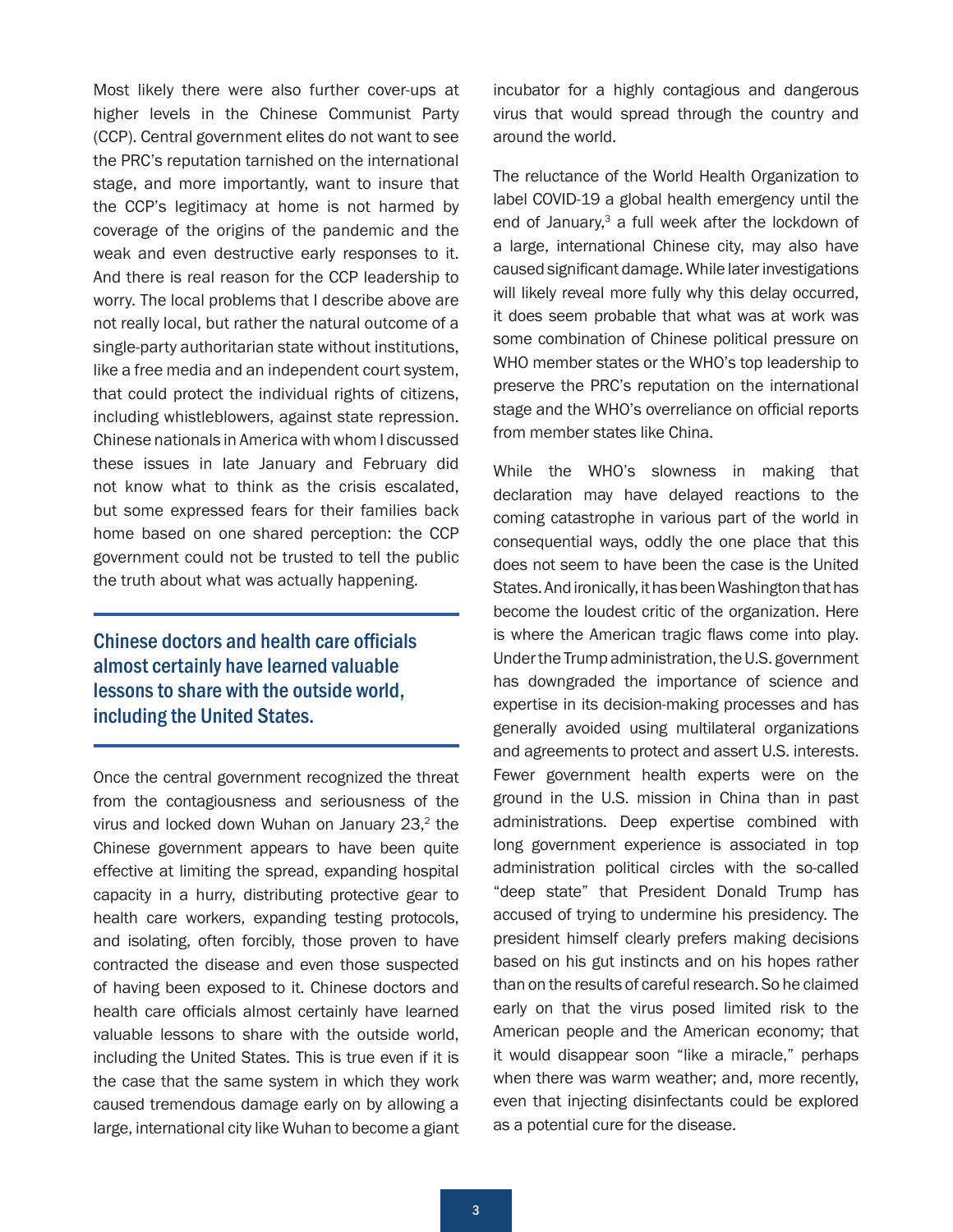<span id="page-2-0"></span>Most likely there were also further cover-ups at higher levels in the Chinese Communist Party (CCP). Central government elites do not want to see the PRC's reputation tarnished on the international stage, and more importantly, want to insure that the CCP's legitimacy at home is not harmed by coverage of the origins of the pandemic and the weak and even destructive early responses to it. And there is real reason for the CCP leadership to worry. The local problems that I describe above are not really local, but rather the natural outcome of a single-party authoritarian state without institutions, like a free media and an independent court system, that could protect the individual rights of citizens, including whistleblowers, against state repression. Chinese nationals in America with whom I discussed these issues in late January and February did not know what to think as the crisis escalated, but some expressed fears for their families back home based on one shared perception: the CCP government could not be trusted to tell the public the truth about what was actually happening.

Chinese doctors and health care officials almost certainly have learned valuable lessons to share with the outside world, including the United States.

Once the central government recognized the threat from the contagiousness and seriousness of the virus and locked down Wuhan on January  $23<sup>2</sup>$  $23<sup>2</sup>$ , the Chinese government appears to have been quite effective at limiting the spread, expanding hospital capacity in a hurry, distributing protective gear to health care workers, expanding testing protocols, and isolating, often forcibly, those proven to have contracted the disease and even those suspected of having been exposed to it. Chinese doctors and health care officials almost certainly have learned valuable lessons to share with the outside world, including the United States. This is true even if it is the case that the same system in which they work caused tremendous damage early on by allowing a large, international city like Wuhan to become a giant incubator for a highly contagious and dangerous virus that would spread through the country and around the world.

The reluctance of the World Health Organization to label COVID-19 a global health emergency until the end of January,<sup>[3](#page-7-0)</sup> a full week after the lockdown of a large, international Chinese city, may also have caused significant damage. While later investigations will likely reveal more fully why this delay occurred, it does seem probable that what was at work was some combination of Chinese political pressure on WHO member states or the WHO's top leadership to preserve the PRC's reputation on the international stage and the WHO's overreliance on official reports from member states like China.

While the WHO's slowness in making that declaration may have delayed reactions to the coming catastrophe in various part of the world in consequential ways, oddly the one place that this does not seem to have been the case is the United States. And ironically, it has been Washington that has become the loudest critic of the organization. Here is where the American tragic flaws come into play. Under the Trump administration, the U.S. government has downgraded the importance of science and expertise in its decision-making processes and has generally avoided using multilateral organizations and agreements to protect and assert U.S. interests. Fewer government health experts were on the ground in the U.S. mission in China than in past administrations. Deep expertise combined with long government experience is associated in top administration political circles with the so-called "deep state" that President Donald Trump has accused of trying to undermine his presidency. The president himself clearly prefers making decisions based on his gut instincts and on his hopes rather than on the results of careful research. So he claimed early on that the virus posed limited risk to the American people and the American economy; that it would disappear soon "like a miracle," perhaps when there was warm weather; and, more recently, even that injecting disinfectants could be explored as a potential cure for the disease.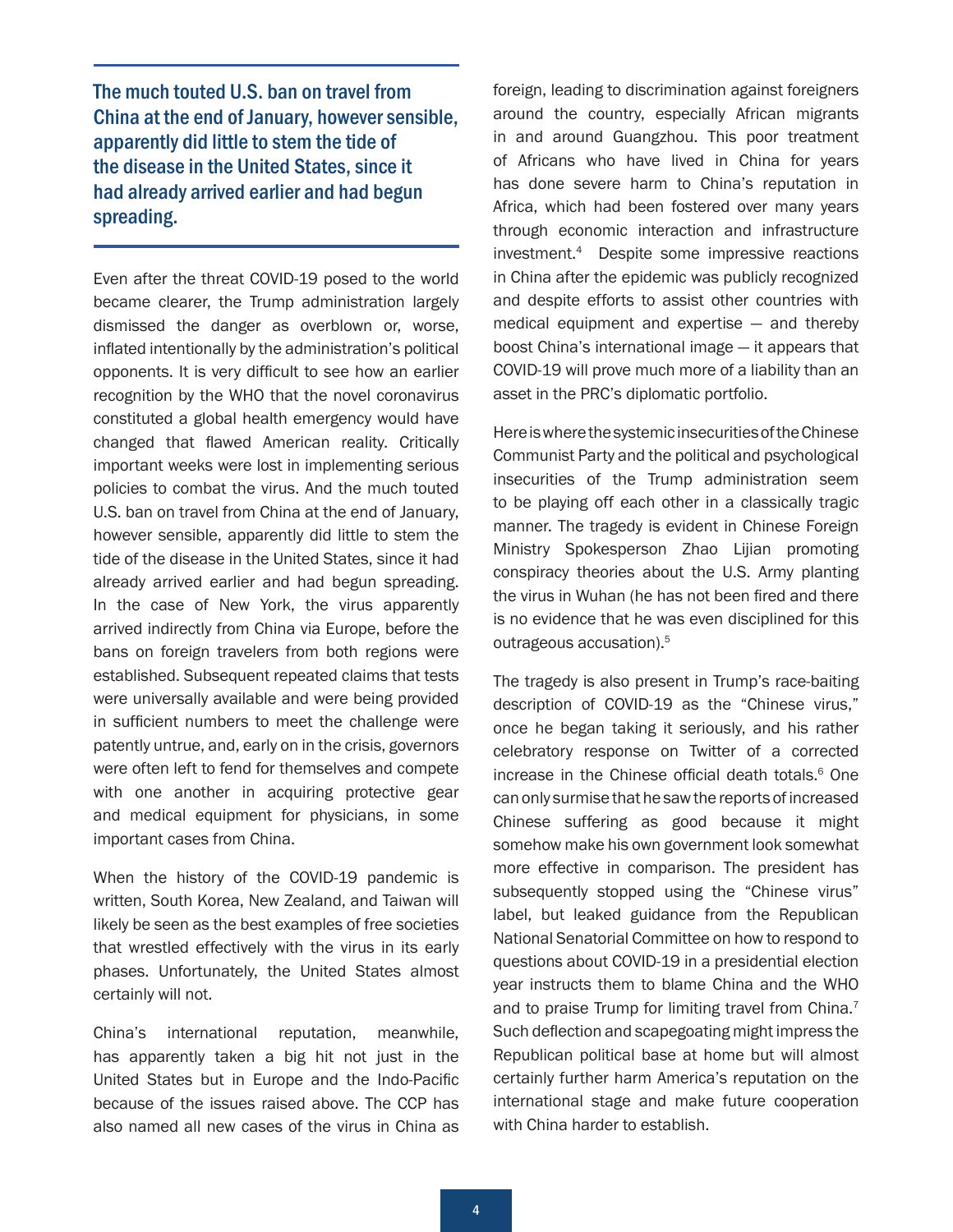<span id="page-3-0"></span>The much touted U.S. ban on travel from China at the end of January, however sensible, apparently did little to stem the tide of the disease in the United States, since it had already arrived earlier and had begun spreading.

Even after the threat COVID-19 posed to the world became clearer, the Trump administration largely dismissed the danger as overblown or, worse, inflated intentionally by the administration's political opponents. It is very difficult to see how an earlier recognition by the WHO that the novel coronavirus constituted a global health emergency would have changed that flawed American reality. Critically important weeks were lost in implementing serious policies to combat the virus. And the much touted U.S. ban on travel from China at the end of January, however sensible, apparently did little to stem the tide of the disease in the United States, since it had already arrived earlier and had begun spreading. In the case of New York, the virus apparently arrived indirectly from China via Europe, before the bans on foreign travelers from both regions were established. Subsequent repeated claims that tests were universally available and were being provided in sufficient numbers to meet the challenge were patently untrue, and, early on in the crisis, governors were often left to fend for themselves and compete with one another in acquiring protective gear and medical equipment for physicians, in some important cases from China.

When the history of the COVID-19 pandemic is written, South Korea, New Zealand, and Taiwan will likely be seen as the best examples of free societies that wrestled effectively with the virus in its early phases. Unfortunately, the United States almost certainly will not.

China's international reputation, meanwhile, has apparently taken a big hit not just in the United States but in Europe and the Indo-Pacific because of the issues raised above. The CCP has also named all new cases of the virus in China as

foreign, leading to discrimination against foreigners around the country, especially African migrants in and around Guangzhou. This poor treatment of Africans who have lived in China for years has done severe harm to China's reputation in Africa, which had been fostered over many years through economic interaction and infrastructure investment[.4](#page-7-0) Despite some impressive reactions in China after the epidemic was publicly recognized and despite efforts to assist other countries with medical equipment and expertise — and thereby boost China's international image — it appears that COVID-19 will prove much more of a liability than an asset in the PRC's diplomatic portfolio.

Here is where the systemic insecurities of the Chinese Communist Party and the political and psychological insecurities of the Trump administration seem to be playing off each other in a classically tragic manner. The tragedy is evident in Chinese Foreign Ministry Spokesperson Zhao Lijian promoting conspiracy theories about the U.S. Army planting the virus in Wuhan (he has not been fired and there is no evidence that he was even disciplined for this outrageous accusation).[5](#page-7-0) 

The tragedy is also present in Trump's race-baiting description of COVID-19 as the "Chinese virus," once he began taking it seriously, and his rather celebratory response on Twitter of a corrected increase in the Chinese official death totals.<sup>[6](#page-7-0)</sup> One can only surmise that he saw the reports of increased Chinese suffering as good because it might somehow make his own government look somewhat more effective in comparison. The president has subsequently stopped using the "Chinese virus" label, but leaked guidance from the Republican National Senatorial Committee on how to respond to questions about COVID-19 in a presidential election year instructs them to blame China and the WHO and to praise Trump for limiting travel from China.<sup>7</sup> Such deflection and scapegoating might impress the Republican political base at home but will almost certainly further harm America's reputation on the international stage and make future cooperation with China harder to establish.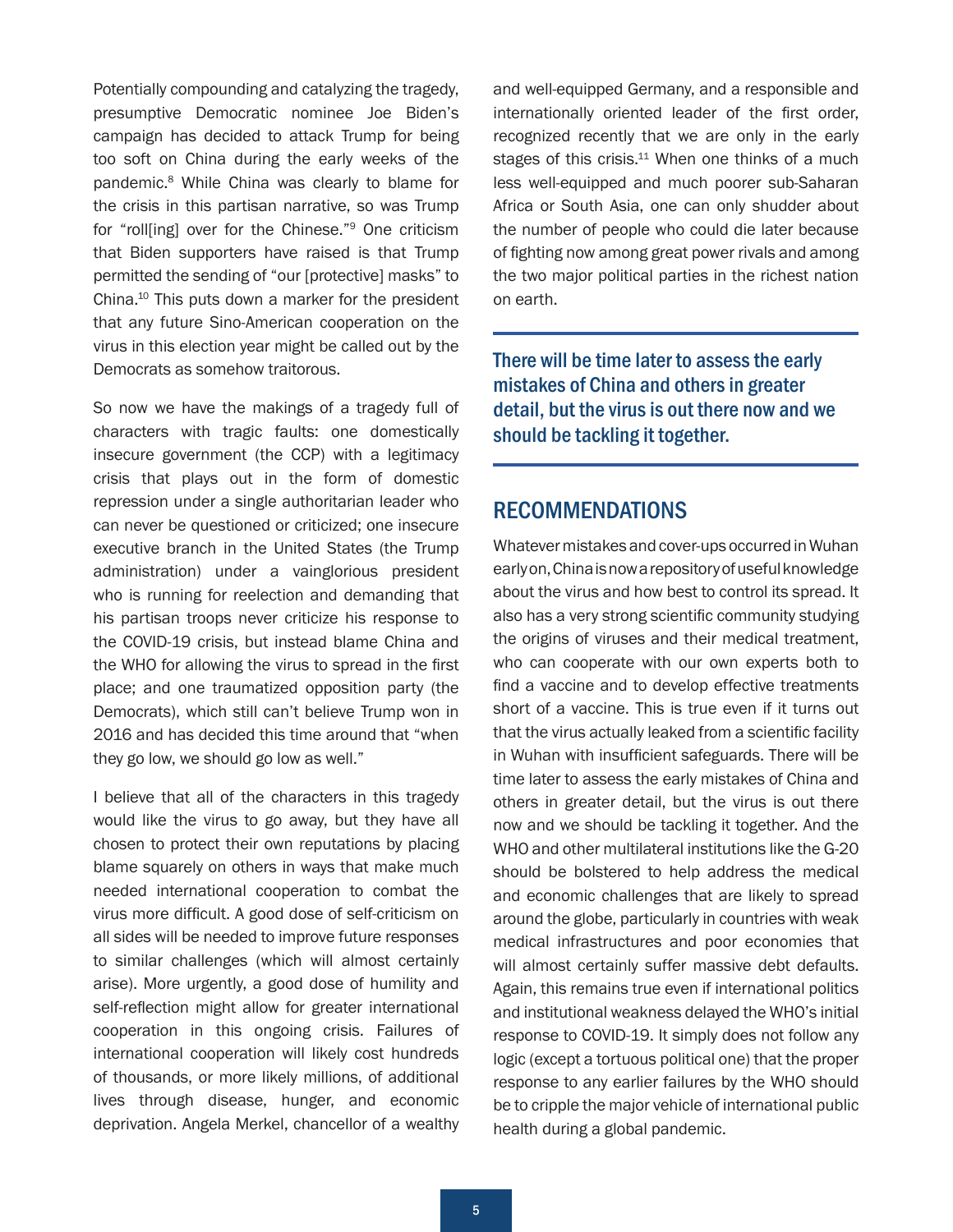<span id="page-4-0"></span>Potentially compounding and catalyzing the tragedy, presumptive Democratic nominee Joe Biden's campaign has decided to attack Trump for being too soft on China during the early weeks of the pandemic[.8](#page-7-0) While China was clearly to blame for the crisis in this partisan narrative, so was Trump for "roll[ing] over for the Chinese."[9](#page-7-0) One criticism that Biden supporters have raised is that Trump permitted the sending of "our [protective] masks" to China[.10](#page-7-0) This puts down a marker for the president that any future Sino-American cooperation on the virus in this election year might be called out by the Democrats as somehow traitorous.

So now we have the makings of a tragedy full of characters with tragic faults: one domestically insecure government (the CCP) with a legitimacy crisis that plays out in the form of domestic repression under a single authoritarian leader who can never be questioned or criticized; one insecure executive branch in the United States (the Trump administration) under a vainglorious president who is running for reelection and demanding that his partisan troops never criticize his response to the COVID-19 crisis, but instead blame China and the WHO for allowing the virus to spread in the first place; and one traumatized opposition party (the Democrats), which still can't believe Trump won in 2016 and has decided this time around that "when they go low, we should go low as well."

I believe that all of the characters in this tragedy would like the virus to go away, but they have all chosen to protect their own reputations by placing blame squarely on others in ways that make much needed international cooperation to combat the virus more difficult. A good dose of self-criticism on all sides will be needed to improve future responses to similar challenges (which will almost certainly arise). More urgently, a good dose of humility and self-reflection might allow for greater international cooperation in this ongoing crisis. Failures of international cooperation will likely cost hundreds of thousands, or more likely millions, of additional lives through disease, hunger, and economic deprivation. Angela Merkel, chancellor of a wealthy

and well-equipped Germany, and a responsible and internationally oriented leader of the first order, recognized recently that we are only in the early stages of this crisis.<sup>11</sup> When one thinks of a much less well-equipped and much poorer sub-Saharan Africa or South Asia, one can only shudder about the number of people who could die later because of fighting now among great power rivals and among the two major political parties in the richest nation on earth.

There will be time later to assess the early mistakes of China and others in greater detail, but the virus is out there now and we should be tackling it together.

#### RECOMMENDATIONS

Whatever mistakes and cover-ups occurred in Wuhan early on, China is now a repository of useful knowledge about the virus and how best to control its spread. It also has a very strong scientific community studying the origins of viruses and their medical treatment, who can cooperate with our own experts both to find a vaccine and to develop effective treatments short of a vaccine. This is true even if it turns out that the virus actually leaked from a scientific facility in Wuhan with insufficient safeguards. There will be time later to assess the early mistakes of China and others in greater detail, but the virus is out there now and we should be tackling it together. And the WHO and other multilateral institutions like the G-20 should be bolstered to help address the medical and economic challenges that are likely to spread around the globe, particularly in countries with weak medical infrastructures and poor economies that will almost certainly suffer massive debt defaults. Again, this remains true even if international politics and institutional weakness delayed the WHO's initial response to COVID-19. It simply does not follow any logic (except a tortuous political one) that the proper response to any earlier failures by the WHO should be to cripple the major vehicle of international public health during a global pandemic.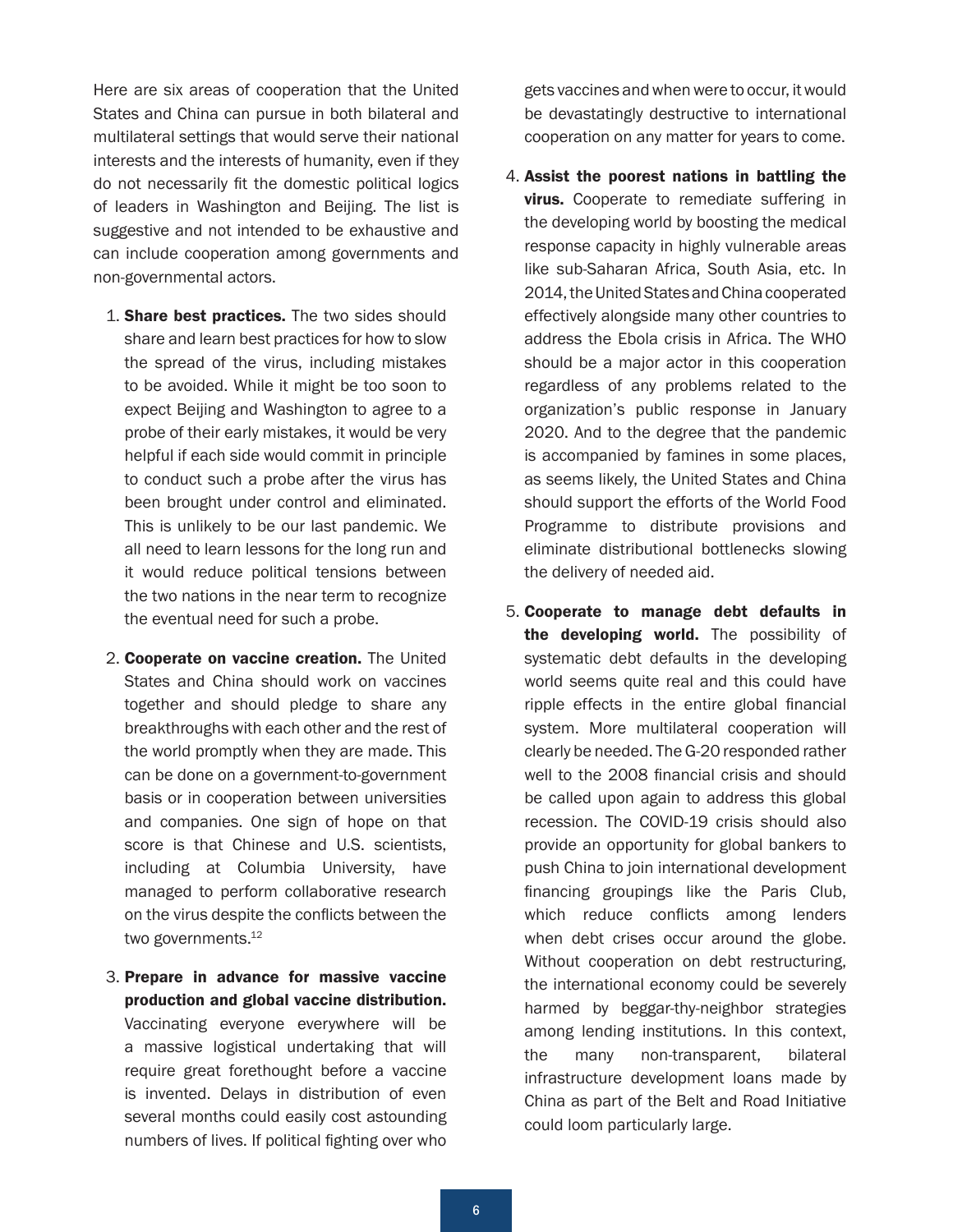<span id="page-5-0"></span>Here are six areas of cooperation that the United States and China can pursue in both bilateral and multilateral settings that would serve their national interests and the interests of humanity, even if they do not necessarily fit the domestic political logics of leaders in Washington and Beijing. The list is suggestive and not intended to be exhaustive and can include cooperation among governments and non-governmental actors.

- 1. **Share best practices.** The two sides should share and learn best practices for how to slow the spread of the virus, including mistakes to be avoided. While it might be too soon to expect Beijing and Washington to agree to a probe of their early mistakes, it would be very helpful if each side would commit in principle to conduct such a probe after the virus has been brought under control and eliminated. This is unlikely to be our last pandemic. We all need to learn lessons for the long run and it would reduce political tensions between the two nations in the near term to recognize the eventual need for such a probe.
- 2. Cooperate on vaccine creation. The United States and China should work on vaccines together and should pledge to share any breakthroughs with each other and the rest of the world promptly when they are made. This can be done on a government-to-government basis or in cooperation between universities and companies. One sign of hope on that score is that Chinese and U.S. scientists, including at Columbia University, have managed to perform collaborative research on the virus despite the conflicts between the two governments.<sup>12</sup>
- 3. Prepare in advance for massive vaccine production and global vaccine distribution. Vaccinating everyone everywhere will be a massive logistical undertaking that will require great forethought before a vaccine is invented. Delays in distribution of even several months could easily cost astounding numbers of lives. If political fighting over who

gets vaccines and when were to occur, it would be devastatingly destructive to international cooperation on any matter for years to come.

- 4. Assist the poorest nations in battling the **virus.** Cooperate to remediate suffering in the developing world by boosting the medical response capacity in highly vulnerable areas like sub-Saharan Africa, South Asia, etc. In 2014, the United States and China cooperated effectively alongside many other countries to address the Ebola crisis in Africa. The WHO should be a major actor in this cooperation regardless of any problems related to the organization's public response in January 2020. And to the degree that the pandemic is accompanied by famines in some places, as seems likely, the United States and China should support the efforts of the World Food Programme to distribute provisions and eliminate distributional bottlenecks slowing the delivery of needed aid.
- 5. Cooperate to manage debt defaults in the developing world. The possibility of systematic debt defaults in the developing world seems quite real and this could have ripple effects in the entire global financial system. More multilateral cooperation will clearly be needed. The G-20 responded rather well to the 2008 financial crisis and should be called upon again to address this global recession. The COVID-19 crisis should also provide an opportunity for global bankers to push China to join international development financing groupings like the Paris Club, which reduce conflicts among lenders when debt crises occur around the globe. Without cooperation on debt restructuring, the international economy could be severely harmed by beggar-thy-neighbor strategies among lending institutions. In this context, the many non-transparent, bilateral infrastructure development loans made by China as part of the Belt and Road Initiative could loom particularly large.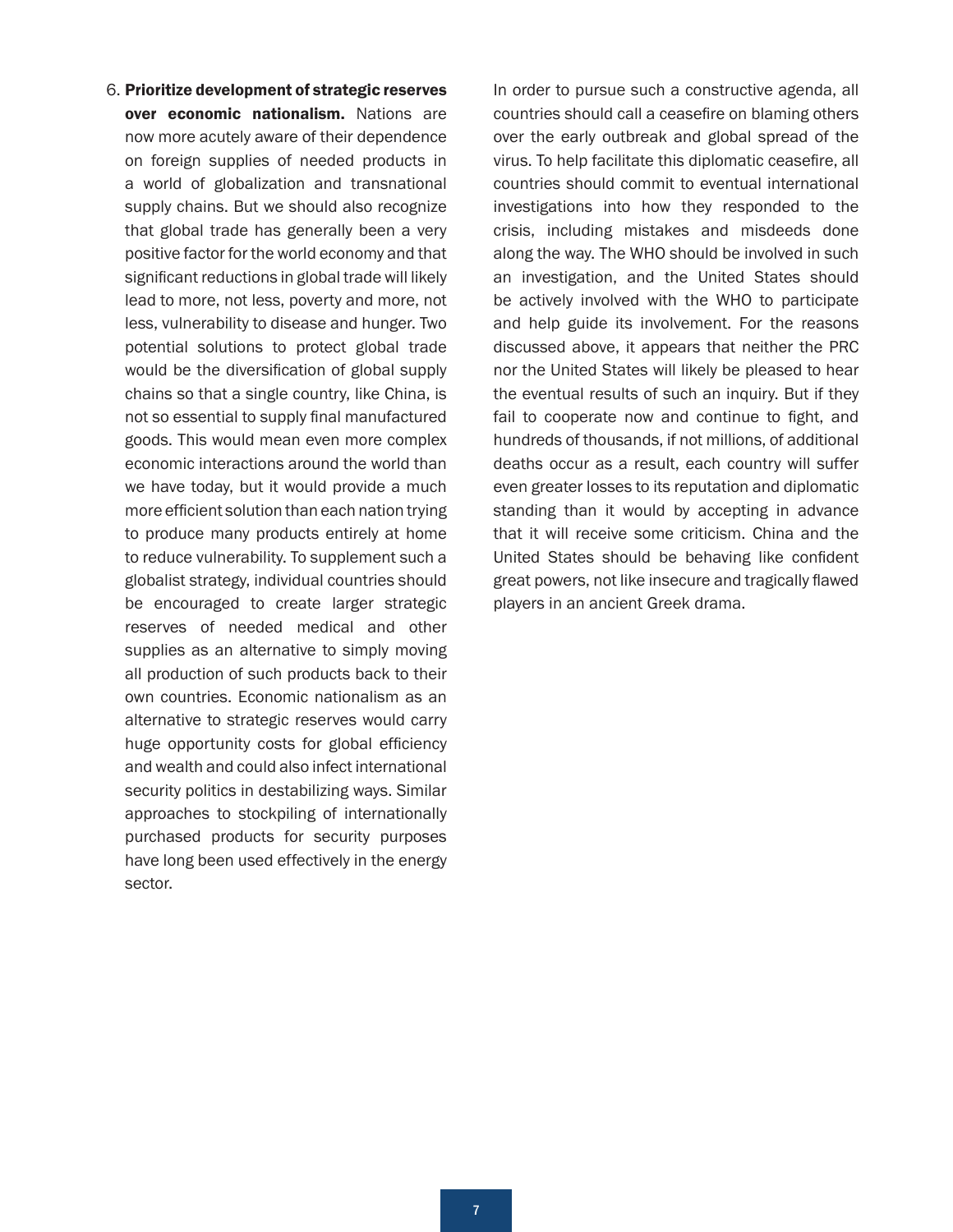6. Prioritize development of strategic reserves over economic nationalism. Nations are now more acutely aware of their dependence on foreign supplies of needed products in a world of globalization and transnational supply chains. But we should also recognize that global trade has generally been a very positive factor for the world economy and that significant reductions in global trade will likely lead to more, not less, poverty and more, not less, vulnerability to disease and hunger. Two potential solutions to protect global trade would be the diversification of global supply chains so that a single country, like China, is not so essential to supply final manufactured goods. This would mean even more complex economic interactions around the world than we have today, but it would provide a much more efficient solution than each nation trying to produce many products entirely at home to reduce vulnerability. To supplement such a globalist strategy, individual countries should be encouraged to create larger strategic reserves of needed medical and other supplies as an alternative to simply moving all production of such products back to their own countries. Economic nationalism as an alternative to strategic reserves would carry huge opportunity costs for global efficiency and wealth and could also infect international security politics in destabilizing ways. Similar approaches to stockpiling of internationally purchased products for security purposes have long been used effectively in the energy sector.

In order to pursue such a constructive agenda, all countries should call a ceasefire on blaming others over the early outbreak and global spread of the virus. To help facilitate this diplomatic ceasefire, all countries should commit to eventual international investigations into how they responded to the crisis, including mistakes and misdeeds done along the way. The WHO should be involved in such an investigation, and the United States should be actively involved with the WHO to participate and help guide its involvement. For the reasons discussed above, it appears that neither the PRC nor the United States will likely be pleased to hear the eventual results of such an inquiry. But if they fail to cooperate now and continue to fight, and hundreds of thousands, if not millions, of additional deaths occur as a result, each country will suffer even greater losses to its reputation and diplomatic standing than it would by accepting in advance that it will receive some criticism. China and the United States should be behaving like confident great powers, not like insecure and tragically flawed players in an ancient Greek drama.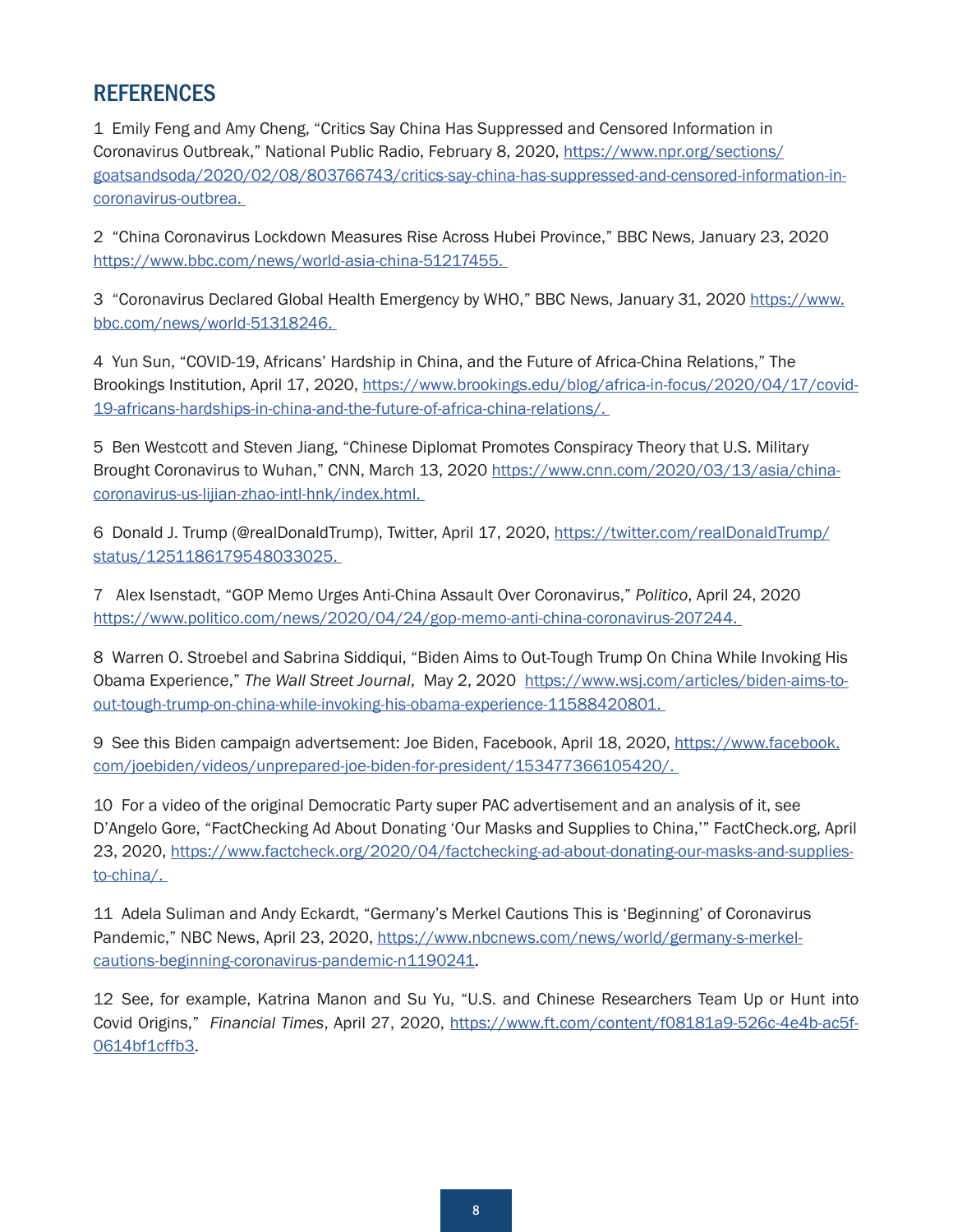# <span id="page-7-0"></span>**REFERENCES**

[1](#page-1-0) Emily Feng and Amy Cheng, "Critics Say China Has Suppressed and Censored Information in Coronavirus Outbreak," National Public Radio, February 8, 2020, [https://www.npr.org/sections/](https://www.npr.org/sections/goatsandsoda/2020/02/08/803766743/critics-say-china-has-suppressed-and-censored-information-in-coronavirus-outbrea) [goatsandsoda/2020/02/08/803766743/critics-say-china-has-suppressed-and-censored-information-in](https://www.npr.org/sections/goatsandsoda/2020/02/08/803766743/critics-say-china-has-suppressed-and-censored-information-in-coronavirus-outbrea)[coronavirus-outbrea.](https://www.npr.org/sections/goatsandsoda/2020/02/08/803766743/critics-say-china-has-suppressed-and-censored-information-in-coronavirus-outbrea)

[2](#page-2-0) "China Coronavirus Lockdown Measures Rise Across Hubei Province," BBC News, January 23, 2020 [https://www.bbc.com/news/world-asia-china-51217455.](https://www.bbc.com/news/world-asia-china-51217455)

[3](#page-2-0) "Coronavirus Declared Global Health Emergency by WHO," BBC News, January 31, 2020 [https://www.](https://www.bbc.com/news/world-51318246) [bbc.com/news/world-51318246.](https://www.bbc.com/news/world-51318246)

[4](#page-3-0) Yun Sun, "COVID-19, Africans' Hardship in China, and the Future of Africa-China Relations," The Brookings Institution, April 17, 2020, [https://www.brookings.edu/blog/africa-in-focus/2020/04/17/covid-](https://www.brookings.edu/blog/africa-in-focus/2020/04/17/covid-19-africans-hardships-in-china-and-the-future-of-africa-china-relations/)[19-africans-hardships-in-china-and-the-future-of-africa-china-relations/](https://www.brookings.edu/blog/africa-in-focus/2020/04/17/covid-19-africans-hardships-in-china-and-the-future-of-africa-china-relations/).

[5](#page-3-0) Ben Westcott and Steven Jiang, "Chinese Diplomat Promotes Conspiracy Theory that U.S. Military Brought Coronavirus to Wuhan," CNN, March 13, 2020 [https://www.cnn.com/2020/03/13/asia/china](https://www.cnn.com/2020/03/13/asia/china-coronavirus-us-lijian-zhao-intl-hnk/index.html)[coronavirus-us-lijian-zhao-intl-hnk/index.html](https://www.cnn.com/2020/03/13/asia/china-coronavirus-us-lijian-zhao-intl-hnk/index.html).

[6](#page-3-0) Donald J. Trump (@realDonaldTrump), Twitter, April 17, 2020, [https://twitter.com/realDonaldTrump/](https://twitter.com/realDonaldTrump/status/1251186179548033025) [status/1251186179548033025](https://twitter.com/realDonaldTrump/status/1251186179548033025).

[7](#page-3-0) Alex Isenstadt, "GOP Memo Urges Anti-China Assault Over Coronavirus," *Politico*, April 24, 2020 <https://www.politico.com/news/2020/04/24/gop-memo-anti-china-coronavirus-207244>.

[8](#page-4-0) Warren O. Stroebel and Sabrina Siddiqui, "Biden Aims to Out-Tough Trump On China While Invoking His Obama Experience," *The Wall Street Journal*, May 2, 2020 [https://www.wsj.com/articles/biden-aims-to](https://www.wsj.com/articles/biden-aims-to-out-tough-trump-on-china-while-invoking-his-obama-experience-11588420801)[out-tough-trump-on-china-while-invoking-his-obama-experience-11588420801](https://www.wsj.com/articles/biden-aims-to-out-tough-trump-on-china-while-invoking-his-obama-experience-11588420801).

[9](#page-4-0) See this Biden campaign advertsement: Joe Biden, Facebook, April 18, 2020, [https://www.facebook.](https://www.facebook.com/joebiden/videos/unprepared-joe-biden-for-president/153477366105420/) [com/joebiden/videos/unprepared-joe-biden-for-president/153477366105420/](https://www.facebook.com/joebiden/videos/unprepared-joe-biden-for-president/153477366105420/).

[10](#page-4-0) For a video of the original Democratic Party super PAC advertisement and an analysis of it, see D'Angelo Gore, "FactChecking Ad About Donating 'Our Masks and Supplies to China,'" FactCheck.org, April 23, 2020, [https://www.factcheck.org/2020/04/factchecking-ad-about-donating-our-masks-and-supplies](https://www.factcheck.org/2020/04/factchecking-ad-about-donating-our-masks-and-supplies-to-china/)[to-china/](https://www.factcheck.org/2020/04/factchecking-ad-about-donating-our-masks-and-supplies-to-china/).

[11](#page-4-0) Adela Suliman and Andy Eckardt, "Germany's Merkel Cautions This is 'Beginning' of Coronavirus Pandemic," NBC News, April 23, 2020, [https://www.nbcnews.com/news/world/germany-s-merkel](https://www.nbcnews.com/news/world/germany-s-merkel-cautions-beginning-coronavirus-pandemic-n1190241)[cautions-beginning-coronavirus-pandemic-n1190241](https://www.nbcnews.com/news/world/germany-s-merkel-cautions-beginning-coronavirus-pandemic-n1190241).

[12](#page-5-0) See, for example, Katrina Manon and Su Yu, "U.S. and Chinese Researchers Team Up or Hunt into Covid Origins," *Financial Times*, April 27, 2020, https://www.ft.com/content/f08181a9-526c-4e4b-ac5f-0614bf1cffb3.